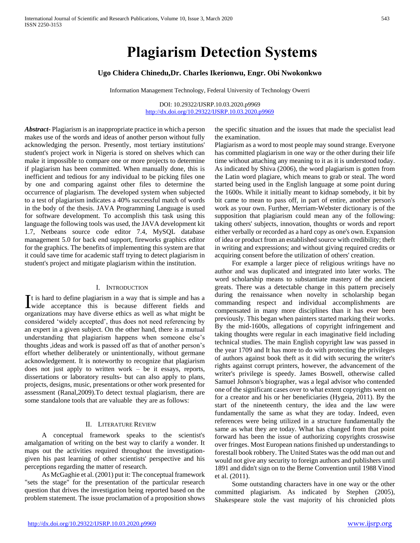## **Ugo Chidera Chinedu,Dr. Charles Ikerionwu, Engr. Obi Nwokonkwo**

Information Management Technology, Federal University of Technology Owerri

DOI: 10.29322/IJSRP.10.03.2020.p9969 <http://dx.doi.org/10.29322/IJSRP.10.03.2020.p9969>

*Abstract***-** Plagiarism is an inappropriate practice in which a person makes use of the words and ideas of another person without fully acknowledging the person. Presently, most tertiary institutions' student's project work in Nigeria is stored on shelves which can make it impossible to compare one or more projects to determine if plagiarism has been committed. When manually done, this is inefficient and tedious for any individual to be picking files one by one and comparing against other files to determine the occurrence of plagiarism. The developed system when subjected to a test of plagiarism indicates a 40% successful match of words in the body of the thesis. JAVA Programming Language is used for software development. To accomplish this task using this language the following tools was used, the JAVA development kit 1.7, Netbeans source code editor 7.4, MySQL database management 5.0 for back end support, fireworks graphics editor for the graphics. The benefits of implementing this system are that it could save time for academic staff trying to detect plagiarism in student's project and mitigate plagiarism within the institution.

#### I. INTRODUCTION

t is hard to define plagiarism in a way that is simple and has a  $\prod$  t is hard to define plagiarism in a way that is simple and has a wide acceptance this is because different fields and organizations may have diverse ethics as well as what might be considered 'widely accepted', thus does not need referencing by an expert in a given subject. On the other hand, there is a mutual understanding that plagiarism happens when someone else's thoughts ,ideas and work is passed off as that of another person's effort whether deliberately or unintentionally, without germane acknowledgement. It is noteworthy to recognize that plagiarism does not just apply to written work – be it essays, reports, dissertations or laboratory results- but can also apply to plans, projects, designs, music, presentations or other work presented for assessment (Ranal,2009).To detect textual plagiarism, there are some standalone tools that are valuable they are as follows:

#### II. LITERATURE REVIEW

 A conceptual framework speaks to the scientist's amalgamation of writing on the best way to clarify a wonder. It maps out the activities required throughout the investigationgiven his past learning of other scientists' perspective and his perceptions regarding the matter of research.

 As McGaghie et al. (2001) put it: The conceptual framework "sets the stage" for the presentation of the particular research question that drives the investigation being reported based on the problem statement. The issue proclamation of a proposition shows

the specific situation and the issues that made the specialist lead the examination.

Plagiarism as a word to most people may sound strange. Everyone has committed plagiarism in one way or the other during their life time without attaching any meaning to it as it is understood today. As indicated by Shiva (2006), the word plagiarism is gotten from the Latin word plagiare, which means to grab or steal. The word started being used in the English language at some point during the 1600s. While it initially meant to kidnap somebody, it bit by bit came to mean to pass off, in part of entire, another person's work as your own. Further, Merriam-Webster dictionary is of the supposition that plagiarism could mean any of the following: taking others' subjects, innovation, thoughts or words and report either verbally or recorded as a hard copy as one's own. Expansion of idea or product from an established source with credibility; theft in writing and expressions; and without giving required credits or acquiring consent before the utilization of others' creation.

 For example a larger piece of religious writings have no author and was duplicated and integrated into later works. The word scholarship means to substantiate mastery of the ancient greats. There was a detectable change in this pattern precisely during the renaissance when novelty in scholarship began commanding respect and individual accomplishments are compensated in many more disciplines than it has ever been previously. This began when painters started marking their works. By the mid-1600s, allegations of copyright infringement and taking thoughts were regular in each imaginative field including technical studies. The main English copyright law was passed in the year 1709 and It has more to do with protecting the privileges of authors against book theft as it did with securing the writer's rights against corrupt printers, however, the advancement of the writer's privilege is speedy. James Boswell, otherwise called Samuel Johnson's biographer, was a legal advisor who contended one of the significant cases over to what extent copyrights went on for a creator and his or her beneficiaries (Hygeia, 2011). By the start of the nineteenth century, the idea and the law were fundamentally the same as what they are today. Indeed, even references were being utilized in a structure fundamentally the same as what they are today. What has changed from that point forward has been the issue of authorizing copyrights crosswise over fringes. Most European nations finished up understandings to forestall book robbery. The United States was the odd man out and would not give any security to foreign authors and publishers until 1891 and didn't sign on to the Berne Convention until 1988 Vinod et al. (2011).

 Some outstanding characters have in one way or the other committed plagiarism. As indicated by Stephen (2005), Shakespeare stole the vast majority of his chronicled plots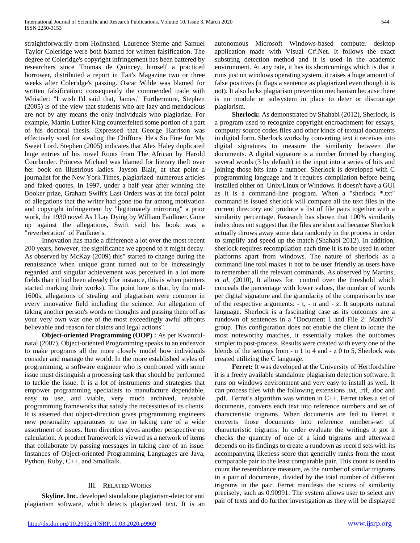straightforwardly from Holinshed. Laurence Sterne and Samuel Taylor Coleridge were both blamed for written falsification. The degree of Coleridge's copyright infringement has been battered by researchers since Thomas de Quincey, himself a practiced borrower, distributed a report in Tait's Magazine two or three weeks after Coleridge's passing. Oscar Wilde was blamed for written falsification: consequently the commended trade with Whistler: "I wish I'd said that, James." Furthermore, Stephen (2005) is of the view that students who are lazy and mendacious are not by any means the only individuals who plagiarize. For example, Martin Luther King counterfeited some portion of a part of his doctoral thesis. Expressed that George Harrison was effectively sued for stealing the Chiffons' He's So Fine for My Sweet Lord. Stephen (2005) indicates that Alex Haley duplicated huge entries of his novel Roots from The African by Harold Courlander. Princess Michael was blamed for literary theft over her book on illustrious ladies. Jayson Blair, at that point a journalist for the New York Times, plagiarized numerous articles and faked quotes. In 1997, under a half year after winning the Booker prize, Graham Swift's Last Orders was at the focal point of allegations that the writer had gone too far among motivation and copyright infringement by "legitimately mirroring" a prior work, the 1930 novel As I Lay Dying by William Faulkner. Gone up against the allegations, Swift said his book was a "reverberation" of Faulkner's.

 Innovation has made a difference a lot over the most recent 200 years, however, the significance we append to it might decay. As observed by McKay (2009) this" started to change during the renaissance when unique grant turned out to be increasingly regarded and singular achievement was perceived in a lot more fields than it had been already (for instance, this is when painters started marking their works). The point here is that, by the mid-1600s, allegations of stealing and plagiarism were common in every innovative field including the science. An allegation of taking another person's words or thoughts and passing them off as your very own was one of the most exceedingly awful affronts believable and reason for claims and legal actions".

 **Object-oriented Programming (OOP) :** As per Kwanzulnatal (2007), Object-oriented Programming speaks to an endeavor to make programs all the more closely model how individuals consider and manage the world. In the more established styles of programming, a software engineer who is confronted with some issue must distinguish a processing task that should be performed to tackle the issue. It is a lot of instruments and strategies that empower programming specialists to manufacture dependable, easy to use, and viable, very much archived, reusable programming frameworks that satisfy the necessities of its clients. It is asserted that object-direction gives programming engineers new personality apparatuses to use in taking care of a wide assortment of issues. Item direction gives another perspective on calculation. A product framework is viewed as a network of items that collaborate by passing messages in taking care of an issue. Instances of Object-oriented Programming Languages are Java, Python, Ruby, C++, and Smalltalk.

# III. RELATED WORKS

 **Skyline. Inc.** developed standalone plagiarism-detector anti plagiarism software, which detects plagiarized text. It is an autonomous Microsoft Windows-based computer desktop application made with Visual C#.Net. It follows the exact substring detection method and it is used in the academic environment. At any rate, it has its shortcomings which is that it runs just on windows operating system, it raises a huge amount of false positives (it flags a sentence as plagiarized even though it is not). It also lacks plagiarism prevention mechanism because there is no module or subsystem in place to deter or discourage plagiarism.

 **Sherlock:** As demonstrated by Shahabi (2012), Sherlock, is a program used to recognize copyright encroachment for essays, computer source codes files and other kinds of textual documents in digital form. Sherlock works by converting text it receives into digital signatures to measure the similarity between the documents. A digital signature is a number formed by changing several words (3 by default) in the input into a series of bits and joining those bits into a number. Sherlock is developed with C programming language and it requires compilation before being installed either on Unix/Linux or Windows. It doesn't have a GUI as it is a command-line program. When a "sherlock \*.txt" command is issued sherlock will compare all the text files in the current directory and produce a list of file pairs together with a similarity percentage. Research has shown that 100% similarity index does not suggest that the files are identical because Sherlock actually throws away some data randomly in the process in order to simplify and speed up the match (Shahabi 2012). In addition, sherlock requires recompilation each time it is to be used in other platforms apart from windows. The nature of sherlock as a command line tool makes it not to be user friendly as users have to remember all the relevant commands. As observed by Martins, *et al.* (2010), It allows for control over the threshold which conceals the percentage with lower values, the number of words per digital signature and the granularity of the comparison by use of the respective arguments: - t, - n and - z. It supports natural language. Sherlock is a fascinating case as its outcomes are a rundown of sentences in a "Document 1 and File 2: Match%" group. This configuration does not enable the client to locate the most noteworthy matches, it essentially makes the outcomes simpler to post-process. Results were created with every one of the blends of the settings from - n 1 to 4 and - z 0 to 5, Sherlock was created utilizing the C language.

 **Ferret:** It was developed at the University of Hertfordshire it is a freely available standalone plagiarism detection software. It runs on windows environment and very easy to install as well. It can process files with the following extensions .txt, .rtf, .doc and .pdf. Ferret's algorithm was written in C++. Ferret takes a set of documents, converts each text into reference numbers and set of characteristic trigrams. When documents are fed to Ferret it converts those documents into reference numbers-set of characteristic trigrams. In order evaluate the writings it got it checks the quantity of one of a kind trigrams and afterward depends on its findings to create a rundown as record sets with its accompanying likeness score that generally ranks from the most comparable pair to the least comparable pair. This count is used to count the resemblance measure, as the number of similar trigrams in a pair of documents, divided by the total number of different trigrams in the pair. Ferret manifests the scores of similarity precisely, such as 0.90991. The system allows user to select any pair of texts and do further investigation as they will be displayed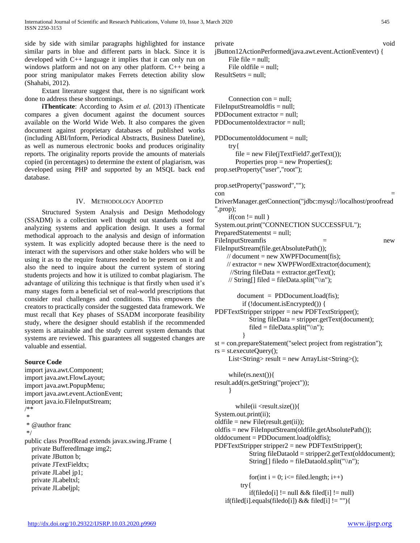side by side with similar paragraphs highlighted for instance similar parts in blue and different parts in black. Since it is developed with C++ language it implies that it can only run on windows platform and not on any other platform. C++ being a poor string manipulator makes Ferrets detection ability slow (Shahabi, 2012).

 Extant literature suggest that, there is no significant work done to address these shortcomings.

**iThenticate**: According to Asim *et al.* (2013) iThenticate compares a given document against the document sources available on the World Wide Web. It also compares the given document against proprietary databases of published works (including ABI/Inform, Periodical Abstracts, Business Dateline), as well as numerous electronic books and produces originality reports. The originality reports provide the amounts of materials copied (in percentages) to determine the extent of plagiarism, was developed using PHP and supported by an MSQL back end database.

### IV. METHODOLOGY ADOPTED

 Structured System Analysis and Design Methodology (SSADM) is a collection well thought out standards used for analyzing systems and application design. It uses a formal methodical approach to the analysis and design of information system. It was explicitly adopted because there is the need to interact with the supervisors and other stake holders who will be using it as to the require features needed to be present on it and also the need to inquire about the current system of storing students projects and how it is utilized to combat plagiarism. The advantage of utilizing this technique is that firstly when used it's many stages form a beneficial set of real-world prescriptions that consider real challenges and conditions. This empowers the creators to practically consider the suggested data framework. We must recall that Key phases of SSADM incorporate feasibility study, where the designer should establish if the recommended system is attainable and the study current system demands that systems are reviewed. This guarantees all suggested changes are valuable and essential.

### **Source Code**

import java.awt.Component; import java.awt.FlowLayout; import java.awt.PopupMenu; import java.awt.event.ActionEvent; import java.io.FileInputStream; /\*\* \* \* @author franc \*/ public class ProofRead extends javax.swing.JFrame { private BufferedImage img2; private JButton b; private JTextFieldtx; private JLabel jp1; private JLabeltxl; private JLabeljpl;

private void jButton12ActionPerformed(java.awt.event.ActionEventevt) { File file = null; File oldfile = null; ResultSetrs = null;

Connection  $con = null$ ;  $FileInputStreamoldfis = null;$ PDDocument extractor = null; PDDocumentoldextractor = null; PDDocumentolddocument = null; try{ file = new File(jTextField7.getText()); Properties prop = new Properties(); prop.setProperty("user","root"); prop.setProperty("password","");  $\epsilon$  con  $=$ DriverManager.getConnection("jdbc:mysql://localhost/proofread ",prop);  $if (con != null)$ System.out.print("CONNECTION SUCCESSFUL"); PreparedStatementst = null; FileInputStreamfis = new FileInputStream(file.getAbsolutePath());  $\frac{1}{2}$  document = new XWPFDocument(fis);  $\mathcal{U}$  extractor = new XWPFWordExtractor(document);  $//String fileData = extractor.getText();$ // String[] filed = fileData.split("\\n");  $document = PDDocument.load(fis);$  if (!document.isEncrypted()) { PDFTextStripper stripper = new PDFTextStripper(); String fileData = stripper.getText(document); filed = fileData.split(" $\ln$ "); } st = con.prepareStatement("select project from registration");  $rs = st.executeQuery();$ List<String> result = new ArrayList<String>(); while(rs.next()){ result.add(rs.getString("project")); } while(ii <result.size()){ System.out.print(ii);  $oldfile = new File(result.get(ii));$ oldfis = new FileInputStream(oldfile.getAbsolutePath()); olddocument = PDDocument.load(oldfis); PDFTextStripper stripper $2$  = new PDFTextStripper(); String fileDataold = stripper2.getText(olddocument); String[] filedo = fileDataold.split("\\n"); for(int i = 0; i  $\le$  filed.length; i++) try{

if(filedo[i] != null && filed[i] != null)

if(filed[i].equals(filedo[i])  $&\&$  filed[i] != ""){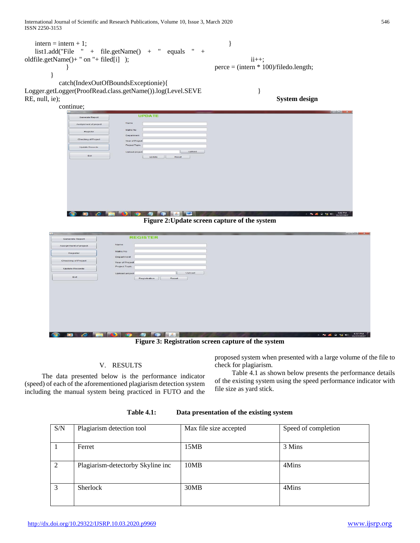International Journal of Scientific and Research Publications, Volume 10, Issue 3, March 2020 546 ISSN 2250-3153

 $intern = intern + 1;$  list1.add("File " + file.getName() + " equals " + oldfile.getName()+ " on "+ filed[i] ); } } catch(IndexOutOfBoundsExceptionie){ Logger.getLogger(ProofRead.class.getName()).log(Level.SEVE RE, null, ie); continue; }  $ii++;$ perce = (intern \* 100)/filedo.length; } **System design**

| <b>Generate Report</b> | <b>UPDATE</b>                               |  |
|------------------------|---------------------------------------------|--|
| Assignment of project  | Name                                        |  |
| Register               | Matric No                                   |  |
| Checking of Project    | Department<br>Year of Project               |  |
| Update Records         | Project Topic                               |  |
| Exit                   | Upload<br>Upload project<br>Reset<br>update |  |
|                        |                                             |  |
|                        |                                             |  |
|                        |                                             |  |
|                        |                                             |  |
|                        |                                             |  |
|                        |                                             |  |
|                        |                                             |  |

**Figure 2:Update screen capture of the system**

|                                                                                               |                                                     | <b>Record Fish Ave.</b> |  |  |
|-----------------------------------------------------------------------------------------------|-----------------------------------------------------|-------------------------|--|--|
| <b>Generate Report</b>                                                                        | <b>REGISTER</b>                                     |                         |  |  |
| Assignment of project                                                                         | Name                                                |                         |  |  |
| Register                                                                                      | Matric No                                           |                         |  |  |
| Checking of Project                                                                           | Department<br>Year of Project                       |                         |  |  |
| Update Records                                                                                | Project Topic                                       |                         |  |  |
|                                                                                               | Upload<br>Upload project                            |                         |  |  |
| Exit                                                                                          | Registration<br><b>Reset</b>                        |                         |  |  |
|                                                                                               |                                                     |                         |  |  |
|                                                                                               |                                                     |                         |  |  |
|                                                                                               |                                                     |                         |  |  |
|                                                                                               |                                                     |                         |  |  |
|                                                                                               |                                                     |                         |  |  |
|                                                                                               |                                                     |                         |  |  |
|                                                                                               |                                                     |                         |  |  |
|                                                                                               |                                                     |                         |  |  |
| 4:57 PM<br>11/17/2017<br>æ<br>ъ<br>$\mathcal{L}$<br>$-$ For $26$ G for $40$<br>$\bullet$<br>e |                                                     |                         |  |  |
|                                                                                               | Figure 3: Registration screen capture of the system |                         |  |  |

# V. RESULTS

 The data presented below is the performance indicator (speed) of each of the aforementioned plagiarism detection system including the manual system being practiced in FUTO and the proposed system when presented with a large volume of the file to check for plagiarism.

 Table 4.1 as shown below presents the performance details of the existing system using the speed performance indicator with file size as yard stick.

| <b>Table 4.1:</b> | Data presentation of the existing system |
|-------------------|------------------------------------------|
|                   |                                          |

| S/N | Plagiarism detection tool         | Max file size accepted | Speed of completion |
|-----|-----------------------------------|------------------------|---------------------|
|     | Ferret                            | 15MB                   | 3 Mins              |
| 2   | Plagiarism-detectorby Skyline inc | 10MB                   | 4Mins               |
| 3   | Sherlock                          | 30MB                   | 4Mins               |